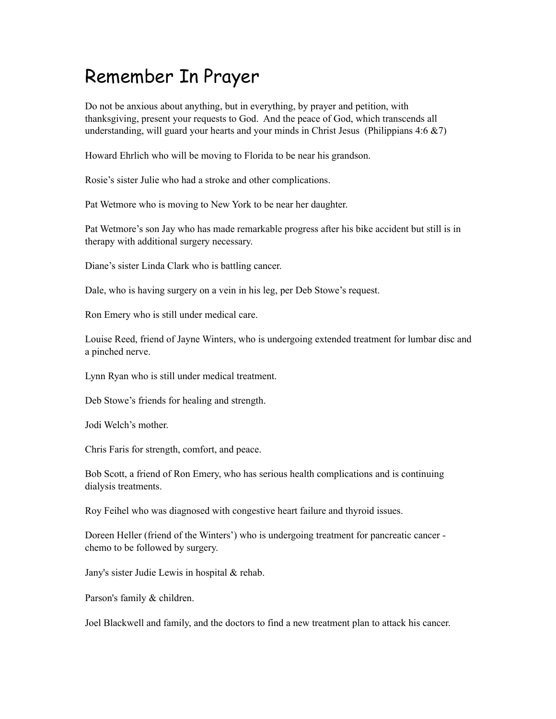## Remember In Prayer

Do not be anxious about anything, but in everything, by prayer and petition, with thanksgiving, present your requests to God. And the peace of God, which transcends all understanding, will guard your hearts and your minds in Christ Jesus (Philippians  $4:6 \& 7$ )

Howard Ehrlich who will be moving to Florida to be near his grandson.

Rosie's sister Julie who had a stroke and other complications.

Pat Wetmore who is moving to New York to be near her daughter.

Pat Wetmore's son Jay who has made remarkable progress after his bike accident but still is in therapy with additional surgery necessary.

Diane's sister Linda Clark who is battling cancer.

Dale, who is having surgery on a vein in his leg, per Deb Stowe's request.

Ron Emery who is still under medical care.

Louise Reed, friend of Jayne Winters, who is undergoing extended treatment for lumbar disc and a pinched nerve.

Lynn Ryan who is still under medical treatment.

Deb Stowe's friends for healing and strength.

Jodi Welch's mother.

Chris Faris for strength, comfort, and peace.

Bob Scott, a friend of Ron Emery, who has serious health complications and is continuing dialysis treatments.

Roy Feihel who was diagnosed with congestive heart failure and thyroid issues.

Doreen Heller (friend of the Winters') who is undergoing treatment for pancreatic cancer chemo to be followed by surgery.

Jany's sister Judie Lewis in hospital & rehab.

Parson's family & children.

Joel Blackwell and family, and the doctors to find a new treatment plan to attack his cancer.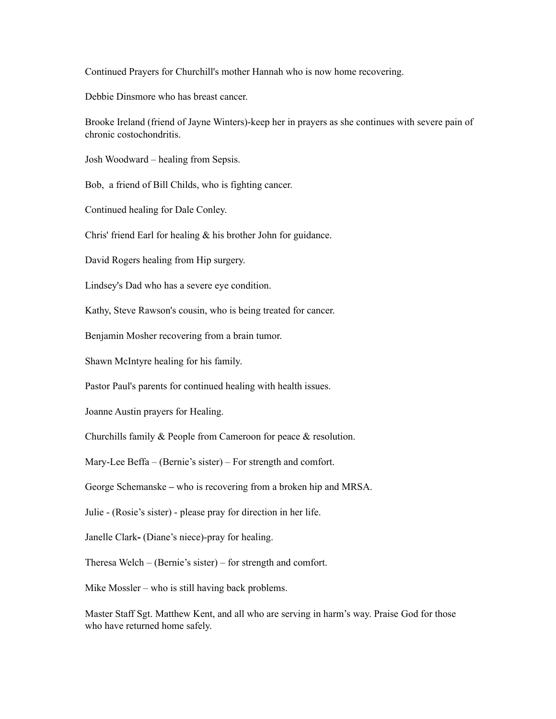Continued Prayers for Churchill's mother Hannah who is now home recovering.

Debbie Dinsmore who has breast cancer.

Brooke Ireland (friend of Jayne Winters)-keep her in prayers as she continues with severe pain of chronic costochondritis.

Josh Woodward – healing from Sepsis.

Bob, a friend of Bill Childs, who is fighting cancer.

Continued healing for Dale Conley.

Chris' friend Earl for healing & his brother John for guidance.

David Rogers healing from Hip surgery.

Lindsey's Dad who has a severe eye condition.

Kathy, Steve Rawson's cousin, who is being treated for cancer.

Benjamin Mosher recovering from a brain tumor.

Shawn McIntyre healing for his family.

Pastor Paul's parents for continued healing with health issues.

Joanne Austin prayers for Healing.

Churchills family & People from Cameroon for peace & resolution.

Mary-Lee Beffa – (Bernie's sister) – For strength and comfort.

George Schemanske **–** who is recovering from a broken hip and MRSA.

Julie - (Rosie's sister) - please pray for direction in her life.

Janelle Clark**-** (Diane's niece)-pray for healing.

Theresa Welch – (Bernie's sister) – for strength and comfort.

Mike Mossler – who is still having back problems.

Master Staff Sgt. Matthew Kent, and all who are serving in harm's way. Praise God for those who have returned home safely.